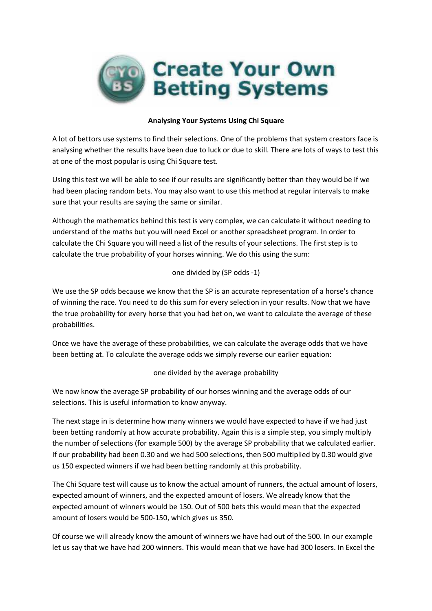

#### Analysing Your Systems Using Chi Square

A lot of bettors use systems to find their selections. One of the problems that system creators face is analysing whether the results have been due to luck or due to skill. There are lots of ways to test this at one of the most popular is using Chi Square test.

Using this test we will be able to see if our results are significantly better than they would be if we had been placing random bets. You may also want to use this method at regular intervals to make sure that your results are saying the same or similar.

Although the mathematics behind this test is very complex, we can calculate it without needing to understand of the maths but you will need Excel or another spreadsheet program. In order to calculate the Chi Square you will need a list of the results of your selections. The first step is to calculate the true probability of your horses winning. We do this using the sum:

## one divided by (SP odds -1)

We use the SP odds because we know that the SP is an accurate representation of a horse's chance of winning the race. You need to do this sum for every selection in your results. Now that we have the true probability for every horse that you had bet on, we want to calculate the average of these probabilities.

Once we have the average of these probabilities, we can calculate the average odds that we have been betting at. To calculate the average odds we simply reverse our earlier equation:

#### one divided by the average probability

We now know the average SP probability of our horses winning and the average odds of our selections. This is useful information to know anyway.

The next stage in is determine how many winners we would have expected to have if we had just been betting randomly at how accurate probability. Again this is a simple step, you simply multiply the number of selections (for example 500) by the average SP probability that we calculated earlier. If our probability had been 0.30 and we had 500 selections, then 500 multiplied by 0.30 would give us 150 expected winners if we had been betting randomly at this probability.

The Chi Square test will cause us to know the actual amount of runners, the actual amount of losers, expected amount of winners, and the expected amount of losers. We already know that the expected amount of winners would be 150. Out of 500 bets this would mean that the expected amount of losers would be 500-150, which gives us 350.

Of course we will already know the amount of winners we have had out of the 500. In our example let us say that we have had 200 winners. This would mean that we have had 300 losers. In Excel the